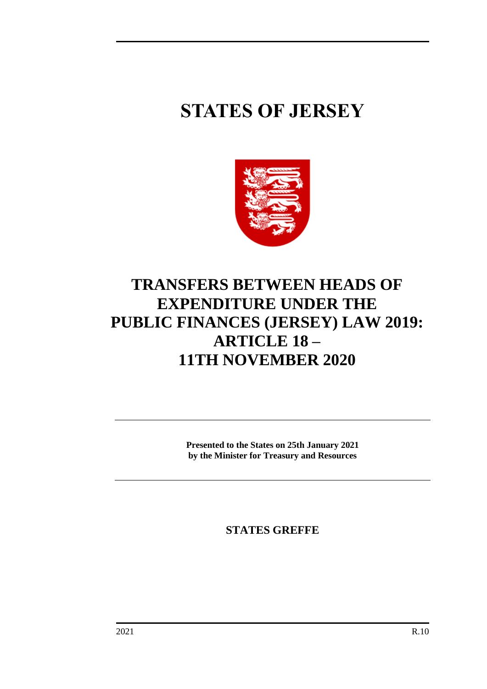## **STATES OF JERSEY**



## **TRANSFERS BETWEEN HEADS OF EXPENDITURE UNDER THE PUBLIC FINANCES (JERSEY) LAW 2019: ARTICLE 18 – 11TH NOVEMBER 2020**

**Presented to the States on 25th January 2021 by the Minister for Treasury and Resources**

**STATES GREFFE**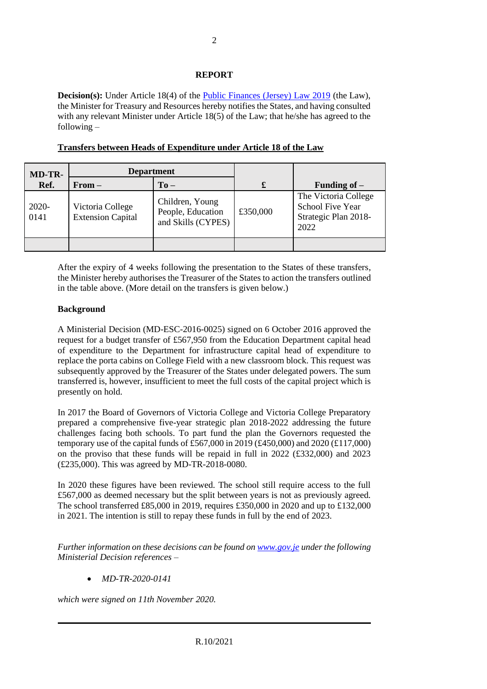## **REPORT**

**Decision(s):** Under Article 18(4) of the [Public Finances \(Jersey\) Law 2019](https://www.jerseylaw.je/laws/unofficialconsolidated/Pages/24.900.aspx) (the Law), the Minister for Treasury and Resources hereby notifies the States, and having consulted with any relevant Minister under Article 18(5) of the Law; that he/she has agreed to the following –

| <b>MD-TR-</b> | <b>Department</b>                            |                                                            |          |                                                                                 |
|---------------|----------------------------------------------|------------------------------------------------------------|----------|---------------------------------------------------------------------------------|
| Ref.          | $From -$                                     | $To -$                                                     | £        | Funding of $-$                                                                  |
| 2020-<br>0141 | Victoria College<br><b>Extension Capital</b> | Children, Young<br>People, Education<br>and Skills (CYPES) | £350,000 | The Victoria College<br><b>School Five Year</b><br>Strategic Plan 2018-<br>2022 |
|               |                                              |                                                            |          |                                                                                 |

**Transfers between Heads of Expenditure under Article 18 of the Law**

After the expiry of 4 weeks following the presentation to the States of these transfers, the Minister hereby authorises the Treasurer of the States to action the transfers outlined in the table above. (More detail on the transfers is given below.)

## **Background**

A Ministerial Decision (MD-ESC-2016-0025) signed on 6 October 2016 approved the request for a budget transfer of £567,950 from the Education Department capital head of expenditure to the Department for infrastructure capital head of expenditure to replace the porta cabins on College Field with a new classroom block. This request was subsequently approved by the Treasurer of the States under delegated powers. The sum transferred is, however, insufficient to meet the full costs of the capital project which is presently on hold.

In 2017 the Board of Governors of Victoria College and Victoria College Preparatory prepared a comprehensive five-year strategic plan 2018-2022 addressing the future challenges facing both schools. To part fund the plan the Governors requested the temporary use of the capital funds of £567,000 in 2019 (£450,000) and 2020 (£117,000) on the proviso that these funds will be repaid in full in 2022 (£332,000) and 2023 (£235,000). This was agreed by MD-TR-2018-0080.

In 2020 these figures have been reviewed. The school still require access to the full £567,000 as deemed necessary but the split between years is not as previously agreed. The school transferred £85,000 in 2019, requires £350,000 in 2020 and up to £132,000 in 2021. The intention is still to repay these funds in full by the end of 2023.

*Further information on these decisions can be found o[n www.gov.je](http://www.gov.je/) under the following Ministerial Decision references –*

• *MD-TR-2020-0141*

*which were signed on 11th November 2020.*